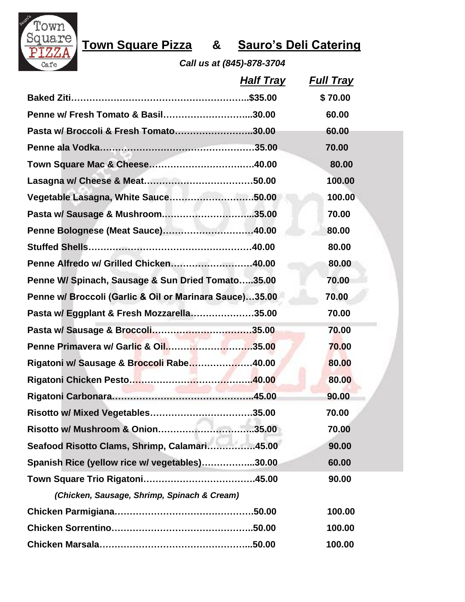

## **Town Square Pizza & Sauro's Deli Catering**

*Call us at (845)-878-3704*

| <b>Half Tray</b>                                        | <b>Full Tray</b> |  |
|---------------------------------------------------------|------------------|--|
|                                                         | \$70.00          |  |
| Penne w/ Fresh Tomato & Basil30.00                      | 60.00            |  |
| Pasta w/ Broccoli & Fresh Tomato30.00                   | 60.00            |  |
|                                                         | 70.00            |  |
|                                                         | 80.00            |  |
|                                                         | 100.00           |  |
| Vegetable Lasagna, White Sauce50.00                     | 100.00           |  |
| Pasta w/ Sausage & Mushroom35.00                        | 70.00            |  |
| Penne Bolognese (Meat Sauce)40.00                       | 80.00            |  |
|                                                         | 80.00            |  |
| Penne Alfredo w/ Grilled Chicken40.00                   | 80.00            |  |
| Penne W/ Spinach, Sausage & Sun Dried Tomato35.00       | 70.00            |  |
| Penne w/ Broccoli (Garlic & Oil or Marinara Sauce)35.00 | 70.00            |  |
| Pasta w/ Eggplant & Fresh Mozzarella35.00               | 70.00            |  |
|                                                         | 70.00            |  |
| Penne Primavera w/ Garlic & Oil35.00                    | 70.00            |  |
| Rigatoni w/ Sausage & Broccoli Rabe40.00                | 80.00            |  |
|                                                         | 80.00            |  |
|                                                         | 90.00            |  |
| .35.00                                                  | 70.00            |  |
| Risotto w/ Mushroom & Onion35.00                        | 70.00            |  |
| Seafood Risotto Clams, Shrimp, Calamari45.00            | 90.00            |  |
| Spanish Rice (yellow rice w/ vegetables)30.00           | 60.00            |  |
|                                                         | 90.00            |  |
| (Chicken, Sausage, Shrimp, Spinach & Cream)             |                  |  |
|                                                         | 100.00           |  |
|                                                         | 100.00           |  |
|                                                         | 100.00           |  |